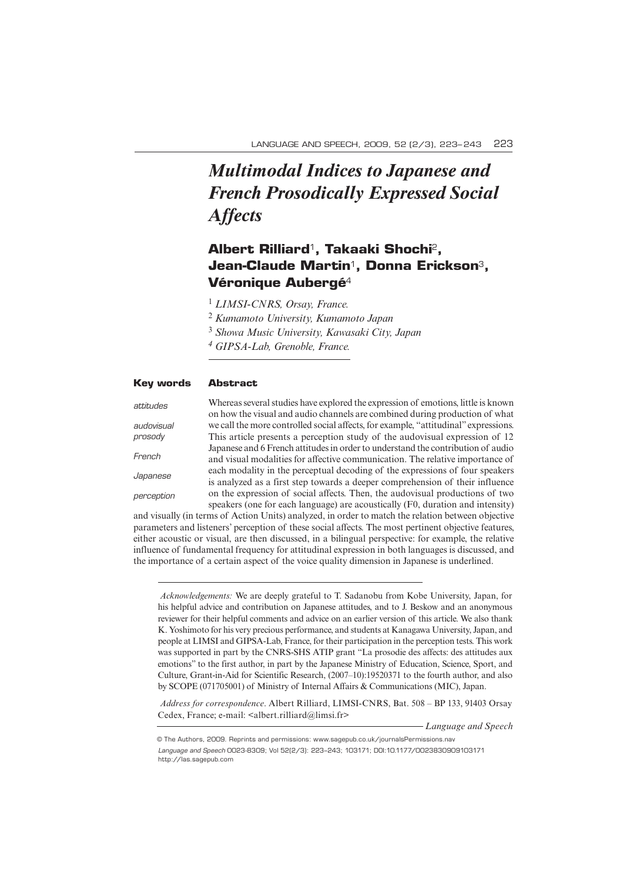# *Multimodal Indices to Japanese and French Prosodically Expressed Social Affects*

## **Albert Rilliard**1**, Takaaki Shochi**2**, Jean-Claude Martin**1**, Donna Erickson**3**, Véronique Aubergé**<sup>4</sup>

<sup>1</sup> *LIMSI-CNRS, Orsay, France.*

<sup>2</sup> *Kumamoto University, Kumamoto Japan*

- <sup>3</sup> *Showa Music University, Kawasaki City, Japan*
- *4 GIPSA-Lab, Grenoble, France.*

#### **Abstract Key words**

| attitudes  | Whereas several studies have explored the expression of emotions, little is known   |
|------------|-------------------------------------------------------------------------------------|
|            | on how the visual and audio channels are combined during production of what         |
| audovisual | we call the more controlled social affects, for example, "attitudinal" expressions. |
| prosody    | This article presents a perception study of the audovisual expression of 12         |
| French     | Japanese and 6 French attitudes in order to understand the contribution of audio    |
|            | and visual modalities for affective communication. The relative importance of       |
| Japanese   | each modality in the perceptual decoding of the expressions of four speakers        |
|            | is analyzed as a first step towards a deeper comprehension of their influence       |
| perception | on the expression of social affects. Then, the audovisual productions of two        |
|            | speakers (one for each language) are acoustically (F0, duration and intensity)      |

and visually (in terms of Action Units) analyzed, in order to match the relation between objective parameters and listeners' perception of these social affects. The most pertinent objective features, either acoustic or visual, are then discussed, in a bilingual perspective: for example, the relative influence of fundamental frequency for attitudinal expression in both languages is discussed, and the importance of a certain aspect of the voice quality dimension in Japanese is underlined.

 *Acknowledgements:* We are deeply grateful to T. Sadanobu from Kobe University, Japan, for his helpful advice and contribution on Japanese attitudes, and to J. Beskow and an anonymous reviewer for their helpful comments and advice on an earlier version of this article. We also thank K. Yoshimoto for his very precious performance, and students at Kanagawa University, Japan, and people at LIMSI and GIPSA-Lab, France, for their participation in the perception tests. This work was supported in part by the CNRS-SHS ATIP grant "La prosodie des affects: des attitudes aux emotions" to the first author, in part by the Japanese Ministry of Education, Science, Sport, and Culture, Grant-in-Aid for Scientific Research, (2007–10):19520371 to the fourth author, and also by SCOPE (071705001) of Ministry of Internal Affairs & Communications (MIC), Japan.

 *Address for correspondence*. Albert Rilliard, LIMSI-CNRS, Bat. 508 – BP 133, 91403 Orsay Cedex, France; e-mail: <albert.rilliard@limsi.fr>

<sup>©</sup> The Authors, 2009. Reprints and permissions: www.sagepub.co.uk/journalsPermissions.nav

Language and Speech 0023-8309; Vol 52(2/3): 223–243; 103171; DOI:10.1177/0023830909103171 http://las.sagepub.com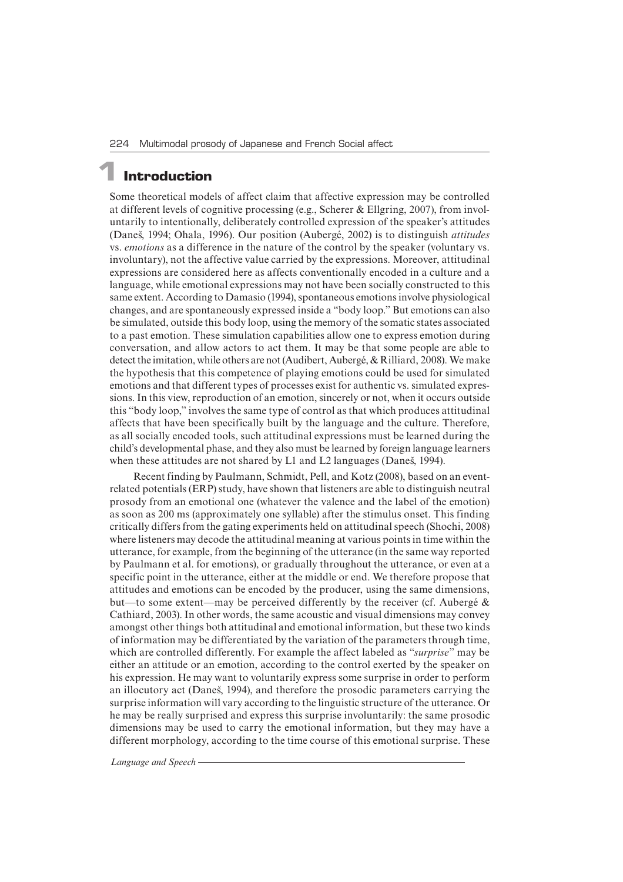### **1 Introduction**

Some theoretical models of affect claim that affective expression may be controlled at different levels of cognitive processing (e.g., Scherer & Ellgring, 2007), from involuntarily to intentionally, deliberately controlled expression of the speaker's attitudes (Daneš, 1994; Ohala, 1996). Our position (Aubergé, 2002) is to distinguish *attitudes* vs. *emotions* as a difference in the nature of the control by the speaker (voluntary vs. involuntary), not the affective value carried by the expressions. Moreover, attitudinal expressions are considered here as affects conventionally encoded in a culture and a language, while emotional expressions may not have been socially constructed to this same extent. According to Damasio (1994), spontaneous emotions involve physiological changes, and are spontaneously expressed inside a "body loop." But emotions can also be simulated, outside this body loop, using the memory of the somatic states associated to a past emotion. These simulation capabilities allow one to express emotion during conversation, and allow actors to act them. It may be that some people are able to detect the imitation, while others are not (Audibert, Aubergé, & Rilliard, 2008). We make the hypothesis that this competence of playing emotions could be used for simulated emotions and that different types of processes exist for authentic vs. simulated expressions. In this view, reproduction of an emotion, sincerely or not, when it occurs outside this "body loop," involves the same type of control as that which produces attitudinal affects that have been specifically built by the language and the culture. Therefore, as all socially encoded tools, such attitudinal expressions must be learned during the child's developmental phase, and they also must be learned by foreign language learners when these attitudes are not shared by L1 and L2 languages (Daneš, 1994).

Recent finding by Paulmann, Schmidt, Pell, and Kotz (2008), based on an eventrelated potentials (ERP) study, have shown that listeners are able to distinguish neutral prosody from an emotional one (whatever the valence and the label of the emotion) as soon as 200 ms (approximately one syllable) after the stimulus onset. This finding critically differs from the gating experiments held on attitudinal speech (Shochi, 2008) where listeners may decode the attitudinal meaning at various points in time within the utterance, for example, from the beginning of the utterance (in the same way reported by Paulmann et al. for emotions), or gradually throughout the utterance, or even at a specific point in the utterance, either at the middle or end. We therefore propose that attitudes and emotions can be encoded by the producer, using the same dimensions, but—to some extent—may be perceived differently by the receiver (cf. Aubergé & Cathiard, 2003). In other words, the same acoustic and visual dimensions may convey amongst other things both attitudinal and emotional information, but these two kinds of information may be differentiated by the variation of the parameters through time, which are controlled differently. For example the affect labeled as "*surprise*" may be either an attitude or an emotion, according to the control exerted by the speaker on his expression. He may want to voluntarily express some surprise in order to perform an illocutory act (Daneš, 1994), and therefore the prosodic parameters carrying the surprise information will vary according to the linguistic structure of the utterance. Or he may be really surprised and express this surprise involuntarily: the same prosodic dimensions may be used to carry the emotional information, but they may have a different morphology, according to the time course of this emotional surprise. These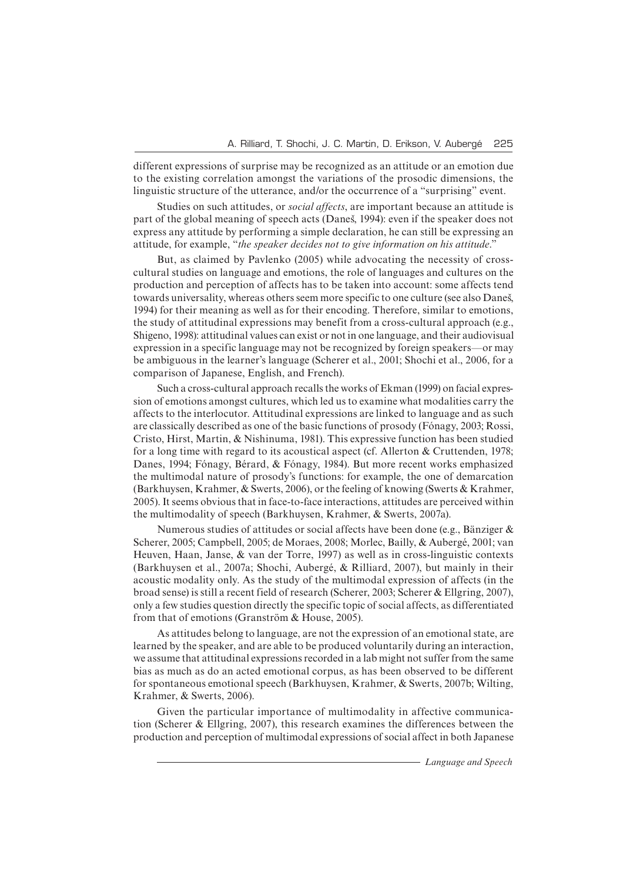different expressions of surprise may be recognized as an attitude or an emotion due to the existing correlation amongst the variations of the prosodic dimensions, the linguistic structure of the utterance, and/or the occurrence of a "surprising" event.

Studies on such attitudes, or *social affects*, are important because an attitude is part of the global meaning of speech acts (Daneš, 1994): even if the speaker does not express any attitude by performing a simple declaration, he can still be expressing an attitude, for example, "*the speaker decides not to give information on his attitude*."

But, as claimed by Pavlenko (2005) while advocating the necessity of crosscultural studies on language and emotions, the role of languages and cultures on the production and perception of affects has to be taken into account: some affects tend towards universality, whereas others seem more specific to one culture (see also Daneš, 1994) for their meaning as well as for their encoding. Therefore, similar to emotions, the study of attitudinal expressions may benefit from a cross-cultural approach (e.g., Shigeno, 1998): attitudinal values can exist or not in one language, and their audiovisual expression in a specific language may not be recognized by foreign speakers—or may be ambiguous in the learner's language (Scherer et al., 2001; Shochi et al., 2006, for a comparison of Japanese, English, and French).

Such a cross-cultural approach recalls the works of Ekman (1999) on facial expression of emotions amongst cultures, which led us to examine what modalities carry the affects to the interlocutor. Attitudinal expressions are linked to language and as such are classically described as one of the basic functions of prosody (Fónagy, 2003; Rossi, Cristo, Hirst, Martin, & Nishinuma, 1981). This expressive function has been studied for a long time with regard to its acoustical aspect (cf. Allerton & Cruttenden, 1978; Danes, 1994; Fónagy, Bérard, & Fónagy, 1984). But more recent works emphasized the multimodal nature of prosody's functions: for example, the one of demarcation (Barkhuysen, Krahmer, & Swerts, 2006), or the feeling of knowing (Swerts & Krahmer, 2005). It seems obvious that in face-to-face interactions, attitudes are perceived within the multimodality of speech (Barkhuysen, Krahmer, & Swerts, 2007a).

Numerous studies of attitudes or social affects have been done (e.g., Bänziger & Scherer, 2005; Campbell, 2005; de Moraes, 2008; Morlec, Bailly, & Aubergé, 2001; van Heuven, Haan, Janse, & van der Torre, 1997) as well as in cross-linguistic contexts (Barkhuysen et al., 2007a; Shochi, Aubergé, & Rilliard, 2007), but mainly in their acoustic modality only. As the study of the multimodal expression of affects (in the broad sense) is still a recent field of research (Scherer, 2003; Scherer & Ellgring, 2007), only a few studies question directly the specific topic of social affects, as differentiated from that of emotions (Granström & House, 2005).

As attitudes belong to language, are not the expression of an emotional state, are learned by the speaker, and are able to be produced voluntarily during an interaction, we assume that attitudinal expressions recorded in a lab might not suffer from the same bias as much as do an acted emotional corpus, as has been observed to be different for spontaneous emotional speech (Barkhuysen, Krahmer, & Swerts, 2007b; Wilting, Krahmer, & Swerts, 2006).

Given the particular importance of multimodality in affective communication (Scherer & Ellgring, 2007), this research examines the differences between the production and perception of multimodal expressions of social affect in both Japanese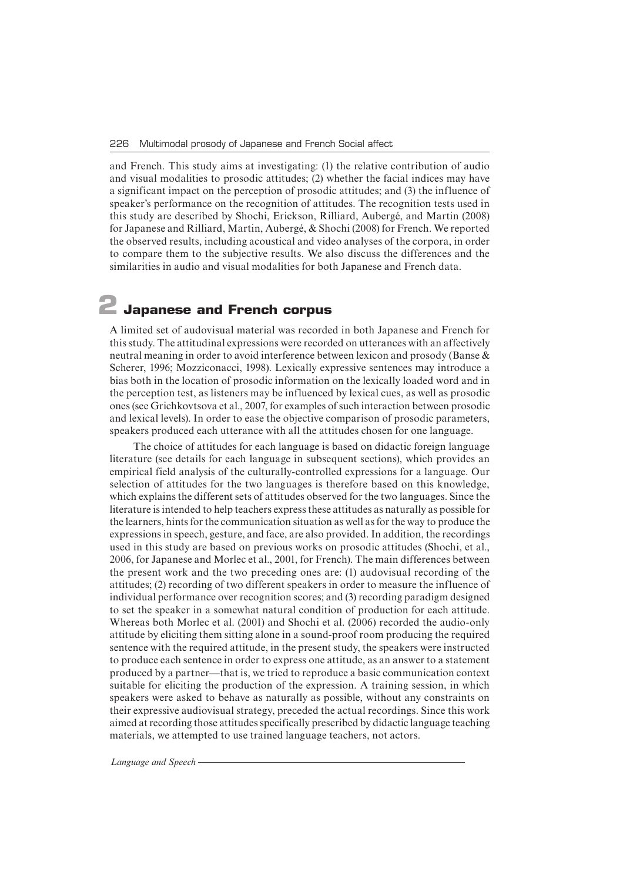and French. This study aims at investigating: (1) the relative contribution of audio and visual modalities to prosodic attitudes; (2) whether the facial indices may have a significant impact on the perception of prosodic attitudes; and (3) the influence of speaker's performance on the recognition of attitudes. The recognition tests used in this study are described by Shochi, Erickson, Rilliard, Aubergé, and Martin (2008) for Japanese and Rilliard, Martin, Aubergé, & Shochi (2008) for French. We reported the observed results, including acoustical and video analyses of the corpora, in order to compare them to the subjective results. We also discuss the differences and the similarities in audio and visual modalities for both Japanese and French data.

# **2 Japanese and French corpus**

A limited set of audovisual material was recorded in both Japanese and French for this study. The attitudinal expressions were recorded on utterances with an affectively neutral meaning in order to avoid interference between lexicon and prosody (Banse & Scherer, 1996; Mozziconacci, 1998). Lexically expressive sentences may introduce a bias both in the location of prosodic information on the lexically loaded word and in the perception test, as listeners may be influenced by lexical cues, as well as prosodic ones (see Grichkovtsova et al., 2007, for examples of such interaction between prosodic and lexical levels). In order to ease the objective comparison of prosodic parameters, speakers produced each utterance with all the attitudes chosen for one language.

The choice of attitudes for each language is based on didactic foreign language literature (see details for each language in subsequent sections), which provides an empirical field analysis of the culturally-controlled expressions for a language. Our selection of attitudes for the two languages is therefore based on this knowledge, which explains the different sets of attitudes observed for the two languages. Since the literature is intended to help teachers express these attitudes as naturally as possible for the learners, hints for the communication situation as well as for the way to produce the expressions in speech, gesture, and face, are also provided. In addition, the recordings used in this study are based on previous works on prosodic attitudes (Shochi, et al., 2006, for Japanese and Morlec et al., 2001, for French). The main differences between the present work and the two preceding ones are: (1) audovisual recording of the attitudes; (2) recording of two different speakers in order to measure the influence of individual performance over recognition scores; and (3) recording paradigm designed to set the speaker in a somewhat natural condition of production for each attitude. Whereas both Morlec et al. (2001) and Shochi et al. (2006) recorded the audio-only attitude by eliciting them sitting alone in a sound-proof room producing the required sentence with the required attitude, in the present study, the speakers were instructed to produce each sentence in order to express one attitude, as an answer to a statement produced by a partner—that is, we tried to reproduce a basic communication context suitable for eliciting the production of the expression. A training session, in which speakers were asked to behave as naturally as possible, without any constraints on their expressive audiovisual strategy, preceded the actual recordings. Since this work aimed at recording those attitudes specifically prescribed by didactic language teaching materials, we attempted to use trained language teachers, not actors.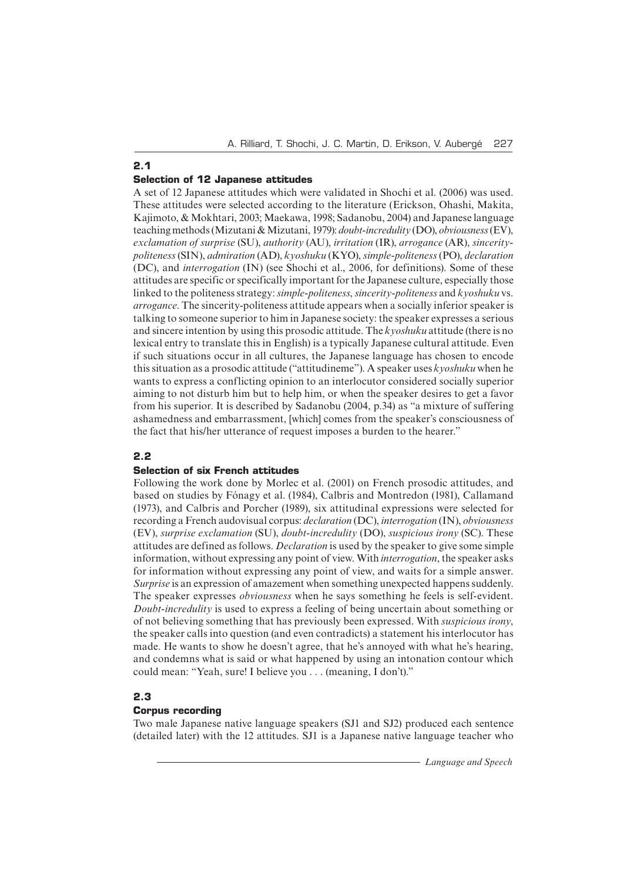#### **Selection of 12 Japanese attitudes**

A set of 12 Japanese attitudes which were validated in Shochi et al. (2006) was used. These attitudes were selected according to the literature (Erickson, Ohashi, Makita, Kajimoto, & Mokhtari, 2003; Maekawa, 1998; Sadanobu, 2004) and Japanese language teaching methods (Mizutani & Mizutani, 1979): *doubt-incredulity* (DO), *obviousness* (EV), *exclamation of surprise* (SU), *authority* (AU), *irritation* (IR), *arrogance* (AR), *sinceritypoliteness* (SIN), *admiration* (AD), *kyoshuku* (KYO), *simple-politeness* (PO), *declaration* (DC), and *interrogation* (IN) (see Shochi et al., 2006, for definitions). Some of these attitudes are specific or specifically important for the Japanese culture, especially those linked to the politeness strategy: *simple-politeness*, *sincerity-politeness* and *kyoshuku* vs. *arrogance*. The sincerity-politeness attitude appears when a socially inferior speaker is talking to someone superior to him in Japanese society: the speaker expresses a serious and sincere intention by using this prosodic attitude. The *kyoshuku* attitude (there is no lexical entry to translate this in English) is a typically Japanese cultural attitude. Even if such situations occur in all cultures, the Japanese language has chosen to encode this situation as a prosodic attitude ("attitudineme"). A speaker uses *kyoshuku* when he wants to express a conflicting opinion to an interlocutor considered socially superior aiming to not disturb him but to help him, or when the speaker desires to get a favor from his superior. It is described by Sadanobu (2004, p.34) as "a mixture of suffering ashamedness and embarrassment, [which] comes from the speaker's consciousness of the fact that his/her utterance of request imposes a burden to the hearer."

#### **2.2**

**2.1**

#### **Selection of six French attitudes**

Following the work done by Morlec et al. (2001) on French prosodic attitudes, and based on studies by Fónagy et al. (1984), Calbris and Montredon (1981), Callamand (1973), and Calbris and Porcher (1989), six attitudinal expressions were selected for recording a French audovisual corpus: *declaration* (DC), *interrogation* (IN), *obviousness* (EV), *surprise exclamation* (SU), *doubt-incredulity* (DO), *suspicious irony* (SC). These attitudes are defined as follows. *Declaration* is used by the speaker to give some simple information, without expressing any point of view. With *interrogation*, the speaker asks for information without expressing any point of view, and waits for a simple answer. *Surprise* is an expression of amazement when something unexpected happens suddenly. The speaker expresses *obviousness* when he says something he feels is self-evident. *Doubt-incredulity* is used to express a feeling of being uncertain about something or of not believing something that has previously been expressed. With *suspicious irony*, the speaker calls into question (and even contradicts) a statement his interlocutor has made. He wants to show he doesn't agree, that he's annoyed with what he's hearing, and condemns what is said or what happened by using an intonation contour which could mean: "Yeah, sure! I believe you . . . (meaning, I don't)."

#### **2.3**

#### **Corpus recording**

Two male Japanese native language speakers (SJ1 and SJ2) produced each sentence (detailed later) with the 12 attitudes. SJ1 is a Japanese native language teacher who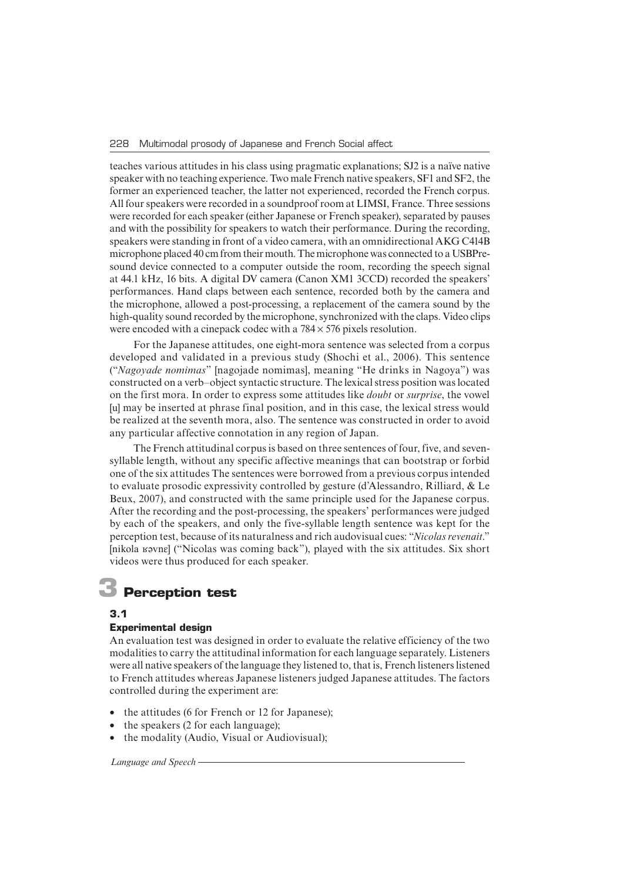teaches various attitudes in his class using pragmatic explanations; SJ2 is a naïve native speaker with no teaching experience. Two male French native speakers, SF1 and SF2, the former an experienced teacher, the latter not experienced, recorded the French corpus. All four speakers were recorded in a soundproof room at LIMSI, France. Three sessions were recorded for each speaker (either Japanese or French speaker), separated by pauses and with the possibility for speakers to watch their performance. During the recording, speakers were standing in front of a video camera, with an omnidirectional AKG C414B microphone placed 40 cm from their mouth. The microphone was connected to a USBPresound device connected to a computer outside the room, recording the speech signal at 44.1 kHz, 16 bits. A digital DV camera (Canon XM1 3CCD) recorded the speakers' performances. Hand claps between each sentence, recorded both by the camera and the microphone, allowed a post-processing, a replacement of the camera sound by the high-quality sound recorded by the microphone, synchronized with the claps. Video clips were encoded with a cinepack codec with a  $784 \times 576$  pixels resolution.

For the Japanese attitudes, one eight-mora sentence was selected from a corpus developed and validated in a previous study (Shochi et al., 2006). This sentence ("*Nagoyade nomimas*" [nagojade nomimas], meaning "He drinks in Nagoya") was constructed on a verb–object syntactic structure. The lexical stress position was located on the first mora. In order to express some attitudes like *doubt* or *surprise*, the vowel [u] may be inserted at phrase final position, and in this case, the lexical stress would be realized at the seventh mora, also. The sentence was constructed in order to avoid any particular affective connotation in any region of Japan.

The French attitudinal corpus is based on three sentences of four, five, and sevensyllable length, without any specific affective meanings that can bootstrap or forbid one of the six attitudes The sentences were borrowed from a previous corpus intended to evaluate prosodic expressivity controlled by gesture (d'Alessandro, Rilliard, & Le Beux, 2007), and constructed with the same principle used for the Japanese corpus. After the recording and the post-processing, the speakers' performances were judged by each of the speakers, and only the five-syllable length sentence was kept for the perception test, because of its naturalness and rich audovisual cues: "*Nicolas revenait*." [nikola ʁəvnɛ] ("Nicolas was coming back"), played with the six attitudes. Six short videos were thus produced for each speaker.

# **3 Perception test**

#### **3.1**

#### **Experimental design**

An evaluation test was designed in order to evaluate the relative efficiency of the two modalities to carry the attitudinal information for each language separately. Listeners were all native speakers of the language they listened to, that is, French listeners listened to French attitudes whereas Japanese listeners judged Japanese attitudes. The factors controlled during the experiment are:

- $\bullet$  the attitudes (6 for French or 12 for Japanese);
- the speakers (2 for each language);
- the modality (Audio, Visual or Audiovisual);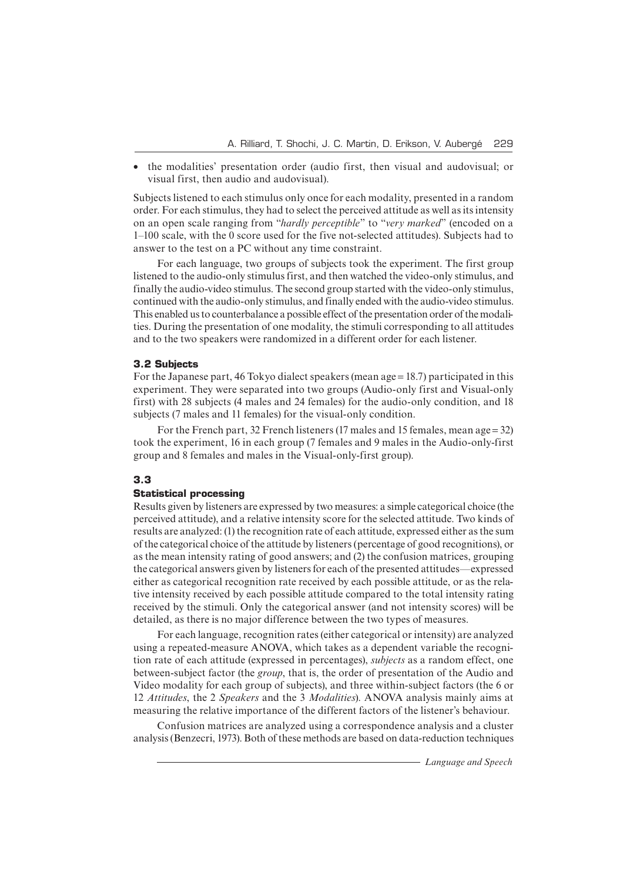u the modalities' presentation order (audio first, then visual and audovisual; or visual first, then audio and audovisual).

Subjects listened to each stimulus only once for each modality, presented in a random order. For each stimulus, they had to select the perceived attitude as well as its intensity on an open scale ranging from "*hardly perceptible*" to "*very marked*" (encoded on a 1–100 scale, with the 0 score used for the five not-selected attitudes). Subjects had to answer to the test on a PC without any time constraint.

For each language, two groups of subjects took the experiment. The first group listened to the audio-only stimulus first, and then watched the video-only stimulus, and finally the audio-video stimulus. The second group started with the video-only stimulus, continued with the audio-only stimulus, and finally ended with the audio-video stimulus. This enabled us to counterbalance a possible effect of the presentation order of the modalities. During the presentation of one modality, the stimuli corresponding to all attitudes and to the two speakers were randomized in a different order for each listener.

#### **3.2 Subjects**

For the Japanese part, 46 Tokyo dialect speakers (mean age  $= 18.7$ ) participated in this experiment. They were separated into two groups (Audio-only first and Visual-only first) with 28 subjects (4 males and 24 females) for the audio-only condition, and 18 subjects (7 males and 11 females) for the visual-only condition.

For the French part, 32 French listeners (17 males and 15 females, mean age  $= 32$ ) took the experiment, 16 in each group (7 females and 9 males in the Audio-only-first group and 8 females and males in the Visual-only-first group).

#### **3.3**

#### **Statistical processing**

Results given by listeners are expressed by two measures: a simple categorical choice (the perceived attitude), and a relative intensity score for the selected attitude. Two kinds of results are analyzed: (1) the recognition rate of each attitude, expressed either as the sum of the categorical choice of the attitude by listeners (percentage of good recognitions), or as the mean intensity rating of good answers; and (2) the confusion matrices, grouping the categorical answers given by listeners for each of the presented attitudes—expressed either as categorical recognition rate received by each possible attitude, or as the relative intensity received by each possible attitude compared to the total intensity rating received by the stimuli. Only the categorical answer (and not intensity scores) will be detailed, as there is no major difference between the two types of measures.

For each language, recognition rates (either categorical or intensity) are analyzed using a repeated-measure ANOVA, which takes as a dependent variable the recognition rate of each attitude (expressed in percentages), *subjects* as a random effect, one between-subject factor (the *group*, that is, the order of presentation of the Audio and Video modality for each group of subjects), and three within-subject factors (the 6 or 12 *Attitudes*, the 2 *Speakers* and the 3 *Modalities*). ANOVA analysis mainly aims at measuring the relative importance of the different factors of the listener's behaviour.

Confusion matrices are analyzed using a correspondence analysis and a cluster analysis (Benzecri, 1973). Both of these methods are based on data-reduction techniques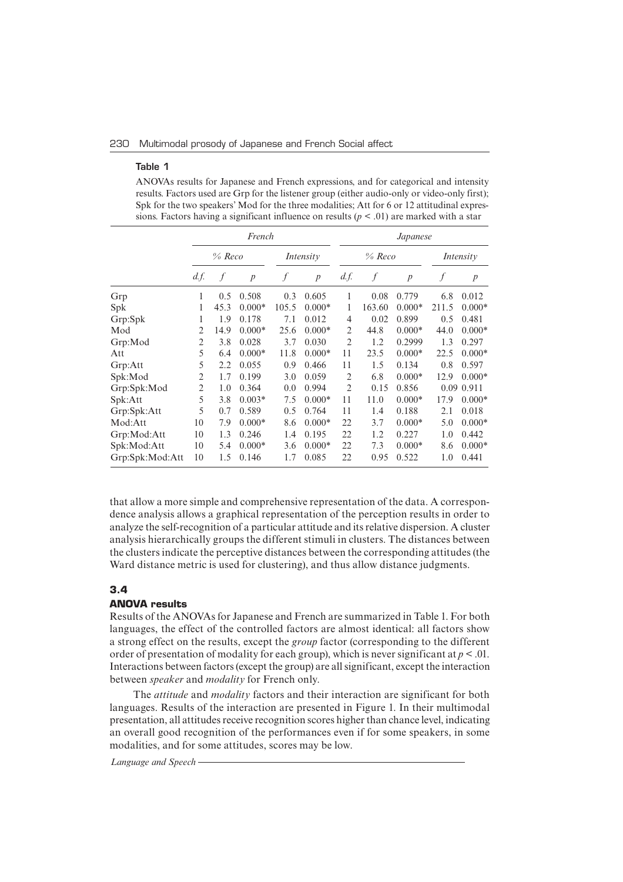#### 230 Multimodal prosody of Japanese and French Social affect

#### Table 1

ANOVAs results for Japanese and French expressions, and for categorical and intensity results. Factors used are Grp for the listener group (either audio-only or video-only first); Spk for the two speakers' Mod for the three modalities; Att for 6 or 12 attitudinal expressions. Factors having a significant influence on results ( $p < .01$ ) are marked with a star

|                 | French         |        |                  |           | Japanese         |                |        |                  |           |                  |
|-----------------|----------------|--------|------------------|-----------|------------------|----------------|--------|------------------|-----------|------------------|
|                 | $%$ Reco       |        |                  | Intensity |                  | $%$ Reco       |        |                  | Intensity |                  |
|                 | d.f.           | $\int$ | $\boldsymbol{p}$ | f         | $\boldsymbol{p}$ | d.f.           | $\int$ | $\boldsymbol{p}$ | f         | $\boldsymbol{p}$ |
| Grp             | 1              | 0.5    | 0.508            | 0.3       | 0.605            | 1              | 0.08   | 0.779            | 6.8       | 0.012            |
| Spk             | 1              | 45.3   | $0.000*$         | 105.5     | $0.000*$         | 1              | 163.60 | $0.000*$         | 211.5     | $0.000*$         |
| Grp:Spk         | 1              | 1.9    | 0.178            | 7.1       | 0.012            | 4              | 0.02   | 0.899            | 0.5       | 0.481            |
| Mod             | 2              | 14.9   | $0.000*$         | 25.6      | $0.000*$         | $\overline{2}$ | 44.8   | $0.000*$         | 44.0      | $0.000*$         |
| Grp:Mod         | $\overline{2}$ | 3.8    | 0.028            | 3.7       | 0.030            | $\overline{2}$ | 1.2    | 0.2999           | 1.3       | 0.297            |
| Att             | 5              | 6.4    | $0.000*$         | 11.8      | $0.000*$         | 11             | 23.5   | $0.000*$         | 22.5      | $0.000*$         |
| Grp:Att         | 5              | 2.2    | 0.055            | 0.9       | 0.466            | 11             | 1.5    | 0.134            | 0.8       | 0.597            |
| Spk:Mod         | $\overline{2}$ | 1.7    | 0.199            | 3.0       | 0.059            | $\overline{2}$ | 6.8    | $0.000*$         | 12.9      | $0.000*$         |
| Grp:Spk:Mod     | 2              | 1.0    | 0.364            | 0.0       | 0.994            | $\overline{2}$ | 0.15   | 0.856            | 0.09      | 0.911            |
| Spk:Att         | 5              | 3.8    | $0.003*$         | 7.5       | $0.000*$         | 11             | 11.0   | $0.000*$         | 17.9      | $0.000*$         |
| Grp:Spk:Att     | 5              | 0.7    | 0.589            | 0.5       | 0.764            | 11             | 1.4    | 0.188            | 2.1       | 0.018            |
| Mod:Att         | 10             | 7.9    | $0.000*$         | 8.6       | $0.000*$         | 22             | 3.7    | $0.000*$         | 5.0       | $0.000*$         |
| Grp:Mod:Att     | 10             | 1.3    | 0.246            | 1.4       | 0.195            | 22             | 1.2    | 0.227            | 1.0       | 0.442            |
| Spk:Mod:Att     | 10             | 5.4    | $0.000*$         | 3.6       | $0.000*$         | 22             | 7.3    | $0.000*$         | 8.6       | $0.000*$         |
| Grp:Spk:Mod:Att | 10             | 1.5    | 0.146            | 1.7       | 0.085            | 22             | 0.95   | 0.522            | 1.0       | 0.441            |

that allow a more simple and comprehensive representation of the data. A correspondence analysis allows a graphical representation of the perception results in order to analyze the self-recognition of a particular attitude and its relative dispersion. A cluster analysis hierarchically groups the different stimuli in clusters. The distances between the clusters indicate the perceptive distances between the corresponding attitudes (the Ward distance metric is used for clustering), and thus allow distance judgments.

#### **3.4**

#### **ANOVA results**

Results of the ANOVAs for Japanese and French are summarized in Table 1. For both languages, the effect of the controlled factors are almost identical: all factors show a strong effect on the results, except the *group* factor (corresponding to the different order of presentation of modality for each group), which is never significant at  $p < .01$ . Interactions between factors (except the group) are all significant, except the interaction between *speaker* and *modality* for French only.

The *attitude* and *modality* factors and their interaction are significant for both languages. Results of the interaction are presented in Figure 1. In their multimodal presentation, all attitudes receive recognition scores higher than chance level, indicating an overall good recognition of the performances even if for some speakers, in some modalities, and for some attitudes, scores may be low.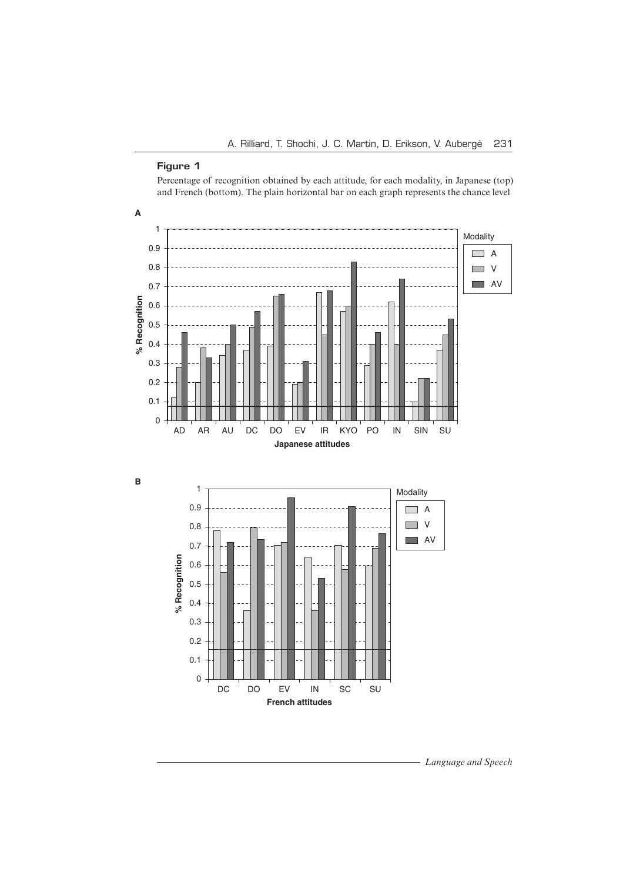#### Figure 1

Percentage of recognition obtained by each attitude, for each modality, in Japanese (top) and French (bottom). The plain horizontal bar on each graph represents the chance level

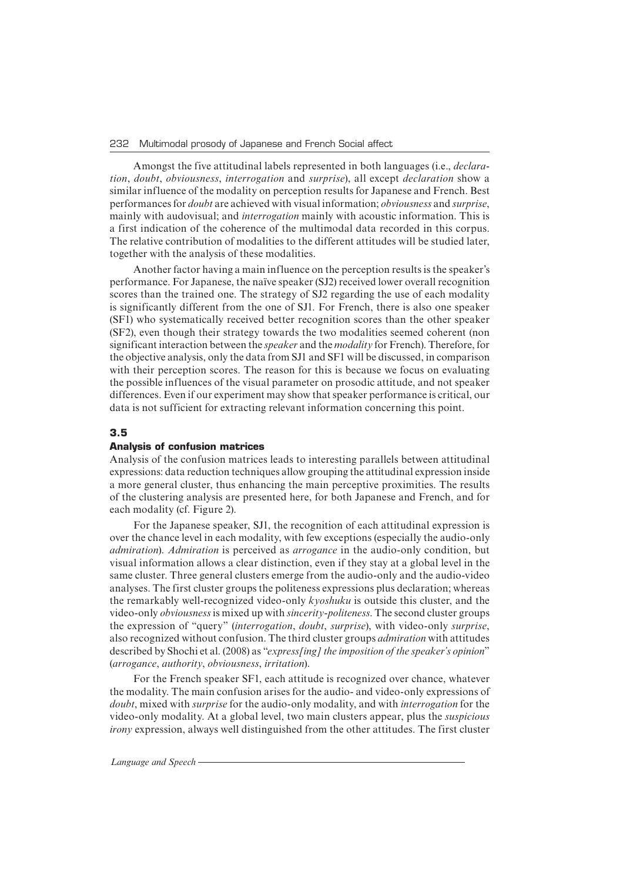Amongst the five attitudinal labels represented in both languages (i.e., *declaration*, *doubt*, *obviousness*, *interrogation* and *surprise*), all except *declaration* show a similar influence of the modality on perception results for Japanese and French. Best performances for *doubt* are achieved with visual information; *obviousness* and *surprise*, mainly with audovisual; and *interrogation* mainly with acoustic information. This is a first indication of the coherence of the multimodal data recorded in this corpus. The relative contribution of modalities to the different attitudes will be studied later, together with the analysis of these modalities.

Another factor having a main influence on the perception results is the speaker's performance. For Japanese, the naïve speaker (SJ2) received lower overall recognition scores than the trained one. The strategy of SJ2 regarding the use of each modality is significantly different from the one of SJ1. For French, there is also one speaker (SF1) who systematically received better recognition scores than the other speaker (SF2), even though their strategy towards the two modalities seemed coherent (non significant interaction between the *speaker* and the *modality* for French). Therefore, for the objective analysis, only the data from SJ1 and SF1 will be discussed, in comparison with their perception scores. The reason for this is because we focus on evaluating the possible influences of the visual parameter on prosodic attitude, and not speaker differences. Even if our experiment may show that speaker performance is critical, our data is not sufficient for extracting relevant information concerning this point.

#### **3.5**

#### **Analysis of confusion matrices**

Analysis of the confusion matrices leads to interesting parallels between attitudinal expressions: data reduction techniques allow grouping the attitudinal expression inside a more general cluster, thus enhancing the main perceptive proximities. The results of the clustering analysis are presented here, for both Japanese and French, and for each modality (cf. Figure 2).

For the Japanese speaker, SJ1, the recognition of each attitudinal expression is over the chance level in each modality, with few exceptions (especially the audio-only *admiration*). *Admiration* is perceived as *arrogance* in the audio-only condition, but visual information allows a clear distinction, even if they stay at a global level in the same cluster. Three general clusters emerge from the audio-only and the audio-video analyses. The first cluster groups the politeness expressions plus declaration; whereas the remarkably well-recognized video-only *kyoshuku* is outside this cluster, and the video-only *obviousness* is mixed up with *sincerity-politeness*. The second cluster groups the expression of "query" (*interrogation*, *doubt*, *surprise*), with video-only *surprise*, also recognized without confusion. The third cluster groups *admiration* with attitudes described by Shochi et al. (2008) as "*express[ing] the imposition of the speaker's opinion*" (*arrogance*, *authority*, *obviousness*, *irritation*).

For the French speaker SF1, each attitude is recognized over chance, whatever the modality. The main confusion arises for the audio- and video-only expressions of *doubt*, mixed with *surprise* for the audio-only modality, and with *interrogation* for the video-only modality. At a global level, two main clusters appear, plus the *suspicious irony* expression, always well distinguished from the other attitudes. The first cluster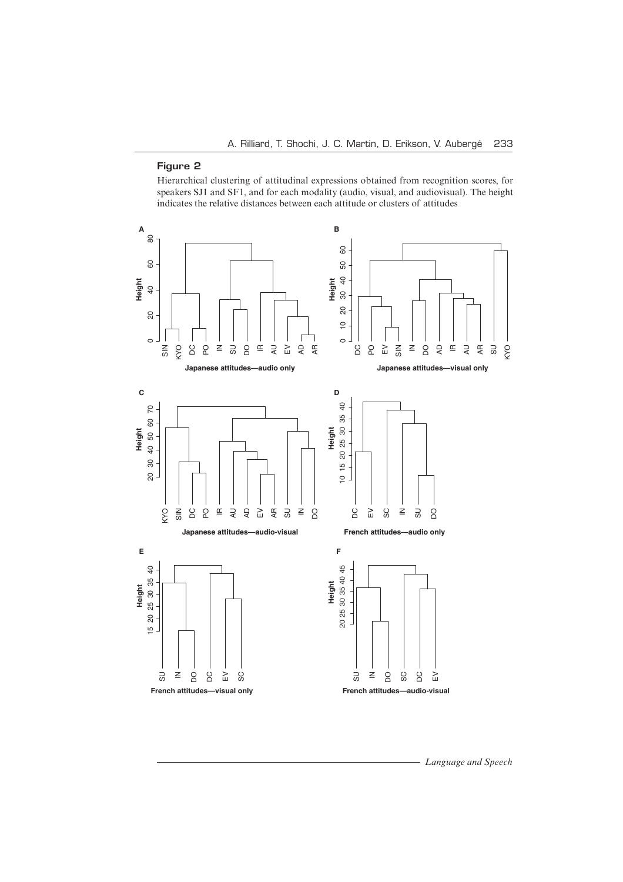#### Figure 2

Hierarchical clustering of attitudinal expressions obtained from recognition scores, for speakers SJ1 and SF1, and for each modality (audio, visual, and audiovisual). The height indicates the relative distances between each attitude or clusters of attitudes

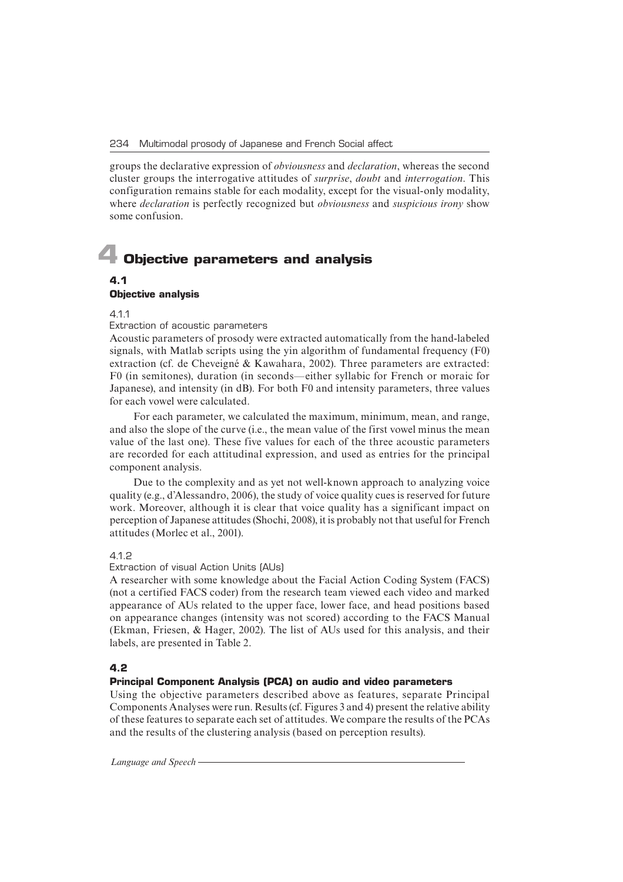groups the declarative expression of *obviousness* and *declaration*, whereas the second cluster groups the interrogative attitudes of *surprise*, *doubt* and *interrogation*. This configuration remains stable for each modality, except for the visual-only modality, where *declaration* is perfectly recognized but *obviousness* and *suspicious irony* show some confusion.

# **4 Objective parameters and analysis**

#### **4.1 Objective analysis**

#### 4.1.1

Extraction of acoustic parameters

Acoustic parameters of prosody were extracted automatically from the hand-labeled signals, with Matlab scripts using the yin algorithm of fundamental frequency (F0) extraction (cf. de Cheveigné & Kawahara, 2002). Three parameters are extracted: F0 (in semitones), duration (in seconds—either syllabic for French or moraic for Japanese), and intensity (in dB). For both F0 and intensity parameters, three values for each vowel were calculated.

For each parameter, we calculated the maximum, minimum, mean, and range, and also the slope of the curve (i.e., the mean value of the first vowel minus the mean value of the last one). These five values for each of the three acoustic parameters are recorded for each attitudinal expression, and used as entries for the principal component analysis.

Due to the complexity and as yet not well-known approach to analyzing voice quality (e.g., d'Alessandro, 2006), the study of voice quality cues is reserved for future work. Moreover, although it is clear that voice quality has a significant impact on perception of Japanese attitudes (Shochi, 2008), it is probably not that useful for French attitudes (Morlec et al., 2001).

#### 4.1.2

Extraction of visual Action Units (AUs)

A researcher with some knowledge about the Facial Action Coding System (FACS) (not a certified FACS coder) from the research team viewed each video and marked appearance of AUs related to the upper face, lower face, and head positions based on appearance changes (intensity was not scored) according to the FACS Manual (Ekman, Friesen, & Hager, 2002). The list of AUs used for this analysis, and their labels, are presented in Table 2.

#### **4.2**

#### **Principal Component Analysis (PCA) on audio and video parameters**

Using the objective parameters described above as features, separate Principal Components Analyses were run. Results (cf. Figures 3 and 4) present the relative ability of these features to separate each set of attitudes. We compare the results of the PCAs and the results of the clustering analysis (based on perception results).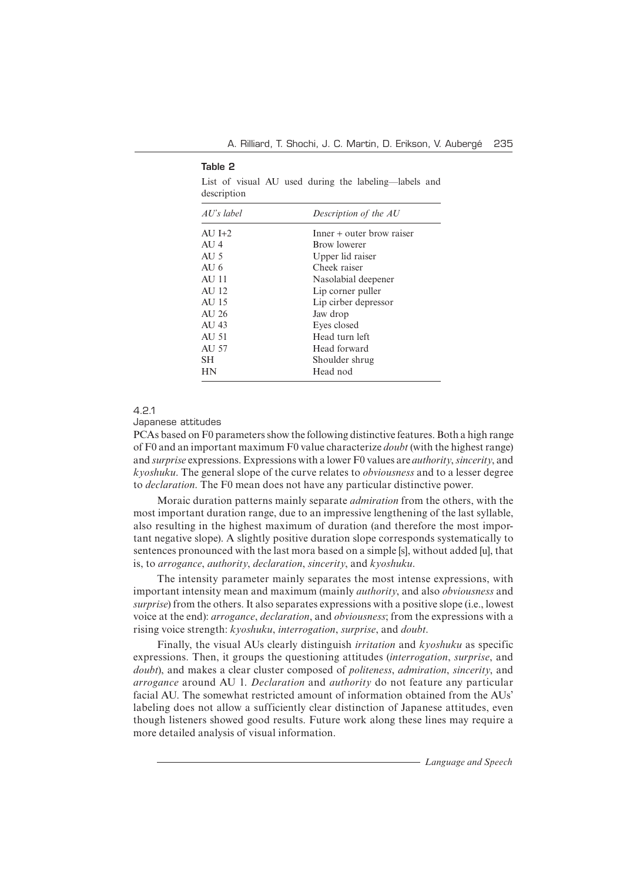#### Table 2

List of visual AU used during the labeling—labels and description

| $A U$ 's label | Description of the AU       |
|----------------|-----------------------------|
| AU $I+2$       | $Inner + outer$ hrow raiser |
| AIJ4           | Brow lowerer                |
| AU 5           | Upper lid raiser            |
| AU 6           | Cheek raiser                |
| AU11           | Nasolabial deepener         |
| AIJ12          | Lip corner puller           |
| AU 15          | Lip cirber depressor        |
| AU 26          | Jaw drop                    |
| AU 43          | Eyes closed                 |
| AU 51          | Head turn left              |
| AU 57          | Head forward                |
| SН             | Shoulder shrug              |
| <b>HN</b>      | Head nod                    |

#### 4.2.1

Japanese attitudes

PCAs based on F0 parameters show the following distinctive features. Both a high range of F0 and an important maximum F0 value characterize *doubt* (with the highest range) and *surprise* expressions. Expressions with a lower F0 values are *authority*, *sincerity*, and *kyoshuku*. The general slope of the curve relates to *obviousness* and to a lesser degree to *declaration*. The F0 mean does not have any particular distinctive power.

Moraic duration patterns mainly separate *admiration* from the others, with the most important duration range, due to an impressive lengthening of the last syllable, also resulting in the highest maximum of duration (and therefore the most important negative slope). A slightly positive duration slope corresponds systematically to sentences pronounced with the last mora based on a simple [s], without added [u], that is, to *arrogance*, *authority*, *declaration*, *sincerity*, and *kyoshuku*.

The intensity parameter mainly separates the most intense expressions, with important intensity mean and maximum (mainly *authority*, and also *obviousness* and *surprise*) from the others. It also separates expressions with a positive slope (i.e., lowest voice at the end): *arrogance*, *declaration*, and *obviousness*; from the expressions with a rising voice strength: *kyoshuku*, *interrogation*, *surprise*, and *doubt*.

Finally, the visual AUs clearly distinguish *irritation* and *kyoshuku* as specific expressions. Then, it groups the questioning attitudes (*interrogation*, *surprise*, and *doubt*), and makes a clear cluster composed of *politeness*, *admiration*, *sincerity*, and *arrogance* around AU 1. *Declaration* and *authority* do not feature any particular facial AU. The somewhat restricted amount of information obtained from the AUs' labeling does not allow a sufficiently clear distinction of Japanese attitudes, even though listeners showed good results. Future work along these lines may require a more detailed analysis of visual information.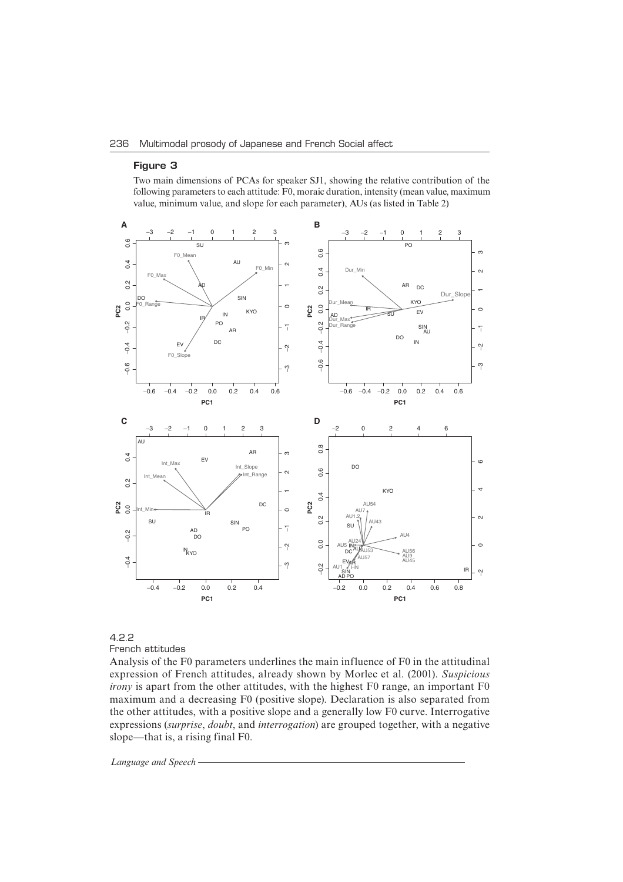#### 236 Multimodal prosody of Japanese and French Social affect

#### Figure 3

Two main dimensions of PCAs for speaker SJ1, showing the relative contribution of the following parameters to each attitude: F0, moraic duration, intensity (mean value, maximum value, minimum value, and slope for each parameter), AUs (as listed in Table 2)



## 4.2.2

French attitudes

Analysis of the F0 parameters underlines the main influence of F0 in the attitudinal expression of French attitudes, already shown by Morlec et al. (2001). *Suspicious irony* is apart from the other attitudes, with the highest F0 range, an important F0 maximum and a decreasing F0 (positive slope). Declaration is also separated from the other attitudes, with a positive slope and a generally low F0 curve. Interrogative expressions (*surprise*, *doubt*, and *interrogation*) are grouped together, with a negative slope—that is, a rising final F0.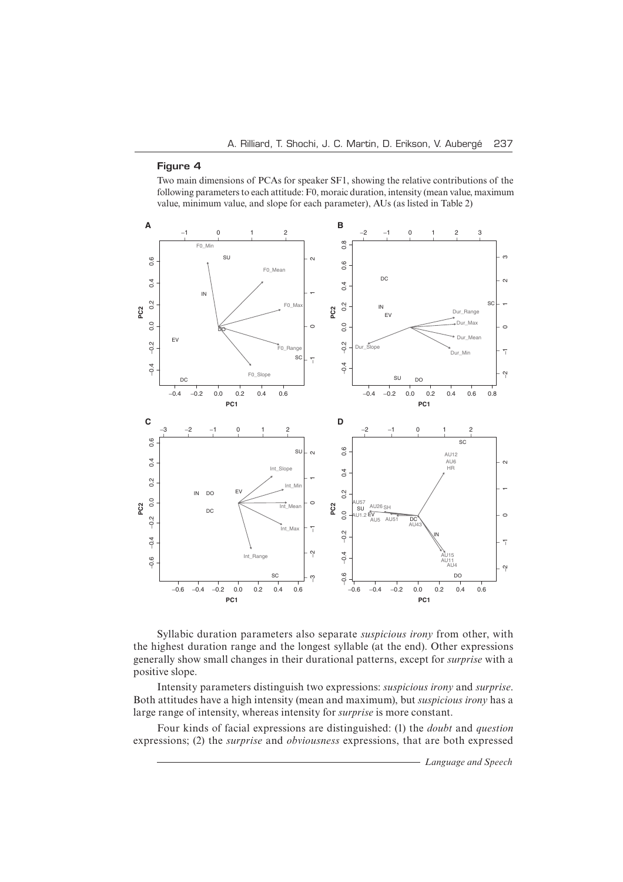#### Figure 4

Two main dimensions of PCAs for speaker SF1, showing the relative contributions of the following parameters to each attitude: F0, moraic duration, intensity (mean value, maximum value, minimum value, and slope for each parameter), AUs (as listed in Table 2)



Syllabic duration parameters also separate *suspicious irony* from other, with the highest duration range and the longest syllable (at the end). Other expressions generally show small changes in their durational patterns, except for *surprise* with a positive slope.

Intensity parameters distinguish two expressions: *suspicious irony* and *surprise*. Both attitudes have a high intensity (mean and maximum), but *suspicious irony* has a large range of intensity, whereas intensity for *surprise* is more constant.

Four kinds of facial expressions are distinguished: (1) the *doubt* and *question* expressions; (2) the *surprise* and *obviousness* expressions, that are both expressed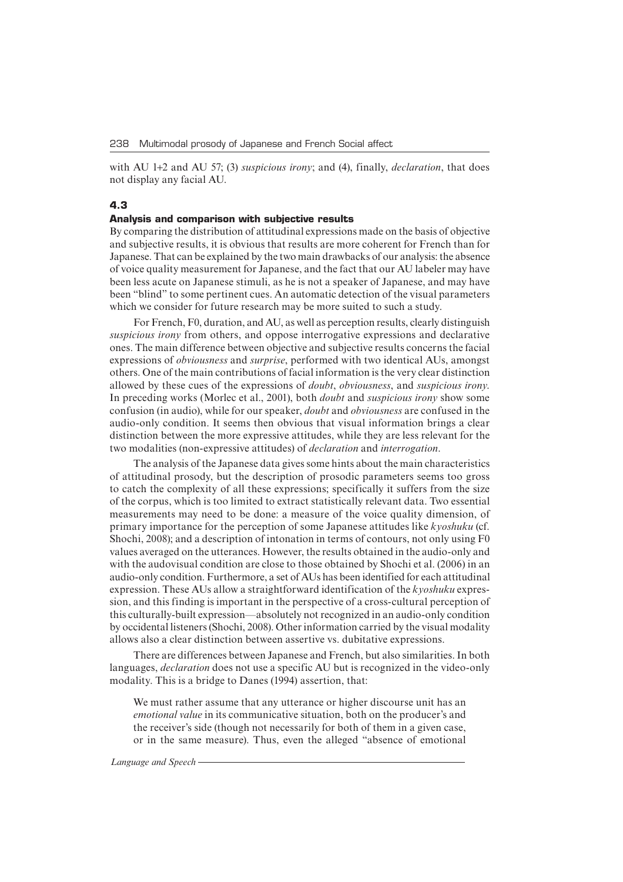with AU 1+2 and AU 57; (3) *suspicious irony*; and (4), finally, *declaration*, that does not display any facial AU.

#### **4.3**

#### **Analysis and comparison with subjective results**

By comparing the distribution of attitudinal expressions made on the basis of objective and subjective results, it is obvious that results are more coherent for French than for Japanese. That can be explained by the two main drawbacks of our analysis: the absence of voice quality measurement for Japanese, and the fact that our AU labeler may have been less acute on Japanese stimuli, as he is not a speaker of Japanese, and may have been "blind" to some pertinent cues. An automatic detection of the visual parameters which we consider for future research may be more suited to such a study.

For French, F0, duration, and AU, as well as perception results, clearly distinguish *suspicious irony* from others, and oppose interrogative expressions and declarative ones. The main difference between objective and subjective results concerns the facial expressions of *obviousness* and *surprise*, performed with two identical AUs, amongst others. One of the main contributions of facial information is the very clear distinction allowed by these cues of the expressions of *doubt*, *obviousness*, and *suspicious irony*. In preceding works (Morlec et al., 2001), both *doubt* and *suspicious irony* show some confusion (in audio), while for our speaker, *doubt* and *obviousness* are confused in the audio-only condition. It seems then obvious that visual information brings a clear distinction between the more expressive attitudes, while they are less relevant for the two modalities (non-expressive attitudes) of *declaration* and *interrogation*.

The analysis of the Japanese data gives some hints about the main characteristics of attitudinal prosody, but the description of prosodic parameters seems too gross to catch the complexity of all these expressions; specifically it suffers from the size of the corpus, which is too limited to extract statistically relevant data. Two essential measurements may need to be done: a measure of the voice quality dimension, of primary importance for the perception of some Japanese attitudes like *kyoshuku* (cf. Shochi, 2008); and a description of intonation in terms of contours, not only using F0 values averaged on the utterances. However, the results obtained in the audio-only and with the audovisual condition are close to those obtained by Shochi et al. (2006) in an audio-only condition. Furthermore, a set of AUs has been identified for each attitudinal expression. These AUs allow a straightforward identification of the *kyoshuku* expression, and this finding is important in the perspective of a cross-cultural perception of this culturally-built expression—absolutely not recognized in an audio-only condition by occidental listeners (Shochi, 2008). Other information carried by the visual modality allows also a clear distinction between assertive vs. dubitative expressions.

There are differences between Japanese and French, but also similarities. In both languages, *declaration* does not use a specific AU but is recognized in the video-only modality. This is a bridge to Danes (1994) assertion, that:

We must rather assume that any utterance or higher discourse unit has an *emotional value* in its communicative situation, both on the producer's and the receiver's side (though not necessarily for both of them in a given case, or in the same measure). Thus, even the alleged "absence of emotional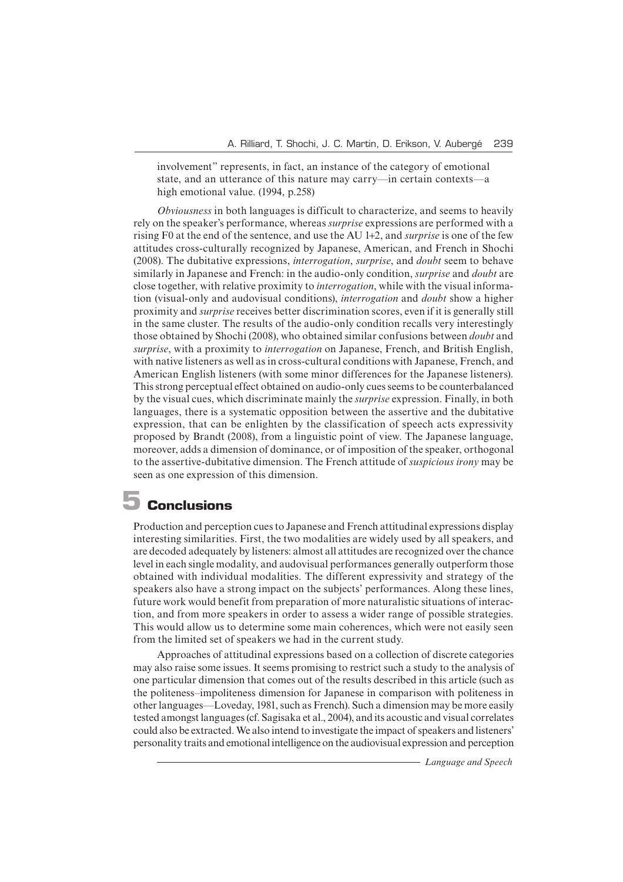involvement" represents, in fact, an instance of the category of emotional state, and an utterance of this nature may carry—in certain contexts—a high emotional value. (1994, p.258)

*Obviousness* in both languages is difficult to characterize, and seems to heavily rely on the speaker's performance, whereas *surprise* expressions are performed with a rising F0 at the end of the sentence, and use the AU 12, and *surprise* is one of the few attitudes cross-culturally recognized by Japanese, American, and French in Shochi (2008). The dubitative expressions, *interrogation*, *surprise*, and *doubt* seem to behave similarly in Japanese and French: in the audio-only condition, *surprise* and *doubt* are close together, with relative proximity to *interrogation*, while with the visual information (visual-only and audovisual conditions), *interrogation* and *doubt* show a higher proximity and *surprise* receives better discrimination scores, even if it is generally still in the same cluster. The results of the audio-only condition recalls very interestingly those obtained by Shochi (2008), who obtained similar confusions between *doubt* and *surprise*, with a proximity to *interrogation* on Japanese, French, and British English, with native listeners as well as in cross-cultural conditions with Japanese, French, and American English listeners (with some minor differences for the Japanese listeners). This strong perceptual effect obtained on audio-only cues seems to be counterbalanced by the visual cues, which discriminate mainly the *surprise* expression. Finally, in both languages, there is a systematic opposition between the assertive and the dubitative expression, that can be enlighten by the classification of speech acts expressivity proposed by Brandt (2008), from a linguistic point of view. The Japanese language, moreover, adds a dimension of dominance, or of imposition of the speaker, orthogonal to the assertive-dubitative dimension. The French attitude of *suspicious irony* may be seen as one expression of this dimension.

## **5 Conclusions**

Production and perception cues to Japanese and French attitudinal expressions display interesting similarities. First, the two modalities are widely used by all speakers, and are decoded adequately by listeners: almost all attitudes are recognized over the chance level in each single modality, and audovisual performances generally outperform those obtained with individual modalities. The different expressivity and strategy of the speakers also have a strong impact on the subjects' performances. Along these lines, future work would benefit from preparation of more naturalistic situations of interaction, and from more speakers in order to assess a wider range of possible strategies. This would allow us to determine some main coherences, which were not easily seen from the limited set of speakers we had in the current study.

Approaches of attitudinal expressions based on a collection of discrete categories may also raise some issues. It seems promising to restrict such a study to the analysis of one particular dimension that comes out of the results described in this article (such as the politeness–impoliteness dimension for Japanese in comparison with politeness in other languages—Loveday, 1981, such as French). Such a dimension may be more easily tested amongst languages (cf. Sagisaka et al., 2004), and its acoustic and visual correlates could also be extracted. We also intend to investigate the impact of speakers and listeners' personality traits and emotional intelligence on the audiovisual expression and perception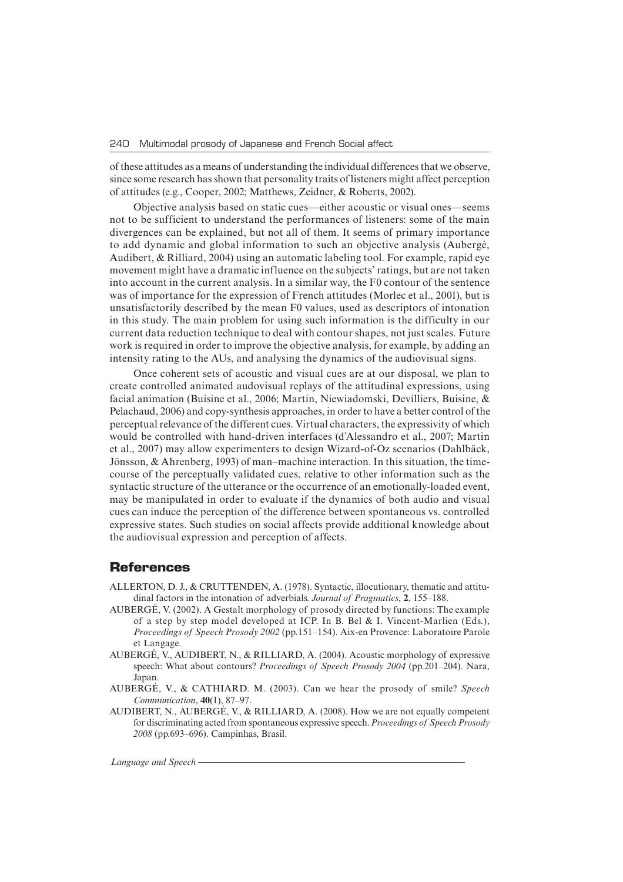of these attitudes as a means of understanding the individual differences that we observe, since some research has shown that personality traits of listeners might affect perception of attitudes (e.g., Cooper, 2002; Matthews, Zeidner, & Roberts, 2002).

Objective analysis based on static cues—either acoustic or visual ones—seems not to be sufficient to understand the performances of listeners: some of the main divergences can be explained, but not all of them. It seems of primary importance to add dynamic and global information to such an objective analysis (Aubergé, Audibert, & Rilliard, 2004) using an automatic labeling tool. For example, rapid eye movement might have a dramatic influence on the subjects' ratings, but are not taken into account in the current analysis. In a similar way, the F0 contour of the sentence was of importance for the expression of French attitudes (Morlec et al., 2001), but is unsatisfactorily described by the mean F0 values, used as descriptors of intonation in this study. The main problem for using such information is the difficulty in our current data reduction technique to deal with contour shapes, not just scales. Future work is required in order to improve the objective analysis, for example, by adding an intensity rating to the AUs, and analysing the dynamics of the audiovisual signs.

Once coherent sets of acoustic and visual cues are at our disposal, we plan to create controlled animated audovisual replays of the attitudinal expressions, using facial animation (Buisine et al., 2006; Martin, Niewiadomski, Devilliers, Buisine, & Pelachaud, 2006) and copy-synthesis approaches, in order to have a better control of the perceptual relevance of the different cues. Virtual characters, the expressivity of which would be controlled with hand-driven interfaces (d'Alessandro et al., 2007; Martin et al., 2007) may allow experimenters to design Wizard-of-Oz scenarios (Dahlbäck, Jönsson, & Ahrenberg, 1993) of man–machine interaction. In this situation, the timecourse of the perceptually validated cues, relative to other information such as the syntactic structure of the utterance or the occurrence of an emotionally-loaded event, may be manipulated in order to evaluate if the dynamics of both audio and visual cues can induce the perception of the difference between spontaneous vs. controlled expressive states. Such studies on social affects provide additional knowledge about the audiovisual expression and perception of affects.

#### **References**

- ALLERTON, D. J., & CRUTTENDEN, A. (1978). Syntactic, illocutionary, thematic and attitudinal factors in the intonation of adverbials. *Journal of Pragmatics*, **2**, 155–188.
- AUBERGÉ, V. (2002). A Gestalt morphology of prosody directed by functions: The example of a step by step model developed at ICP. In B. Bel & I. Vincent-Marlien (Eds.), *Proceedings of Speech Prosody 2002* (pp.151–154). Aix-en Provence: Laboratoire Parole et Langage.
- AUBERGÉ, V., AUDIBERT, N., & RILLIARD, A. (2004). Acoustic morphology of expressive speech: What about contours? *Proceedings of Speech Prosody 2004* (pp.201–204). Nara, Japan.
- AUBERGÉ, V., & CATHIARD. M. (2003). Can we hear the prosody of smile? *Speech Communication*, **40**(1), 87–97.
- AUDIBERT, N., AUBERGÉ, V., & RILLIARD, A. (2008). How we are not equally competent for discriminating acted from spontaneous expressive speech. *Proceedings of Speech Prosody 2008* (pp.693–696). Campinhas, Brasil.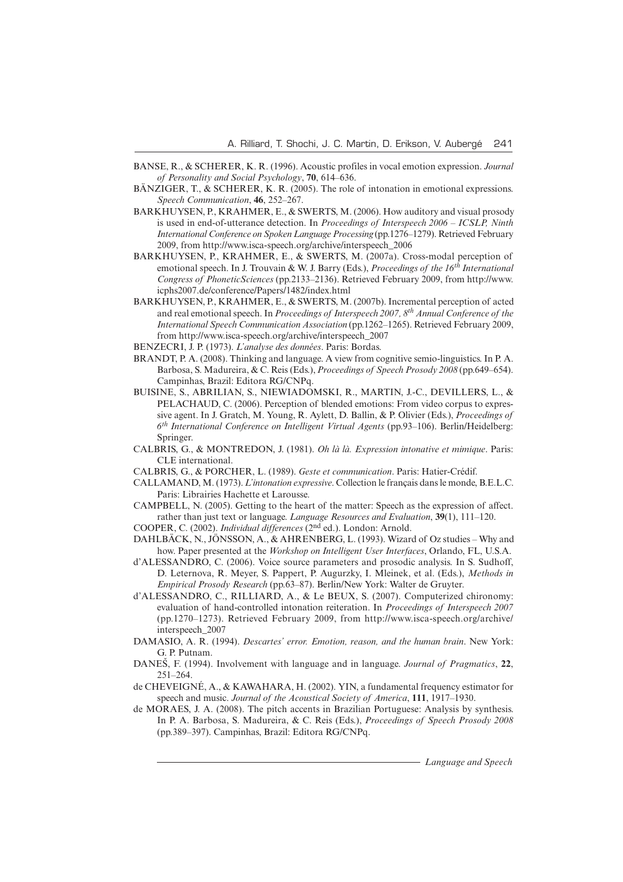- BANSE, R., & SCHERER, K. R. (1996). Acoustic profiles in vocal emotion expression. *Journal of Personality and Social Psychology*, **70**, 614–636.
- BÄNZIGER, T., & SCHERER, K. R. (2005). The role of intonation in emotional expressions. *Speech Communication*, **46**, 252–267.
- BARKHUYSEN, P., KRAHMER, E., & SWERTS, M. (2006). How auditory and visual prosody is used in end-of-utterance detection. In *Proceedings of Interspeech 2006 – ICSLP, Ninth International Conference on Spoken Language Processing* (pp.1276–1279). Retrieved February 2009, from http://www.isca-speech.org/archive/interspeech\_2006
- BARKHUYSEN, P., KRAHMER, E., & SWERTS, M. (2007a). Cross-modal perception of emotional speech. In J. Trouvain & W. J. Barry (Eds.), *Proceedings of the 16th International Congress of PhoneticSciences* (pp.2133–2136). Retrieved February 2009, from http://www. icphs2007.de/conference/Papers/1482/index.html
- BARKHUYSEN, P., KRAHMER, E., & SWERTS, M. (2007b). Incremental perception of acted and real emotional speech. In *Proceedings of Interspeech 2007, 8th Annual Conference of the International Speech Communication Association* (pp.1262–1265). Retrieved February 2009, from http://www.isca-speech.org/archive/interspeech\_2007
- BENZECRI, J. P. (1973). *L'analyse des données*. Paris: Bordas.
- BRANDT, P. A. (2008). Thinking and language. A view from cognitive semio-linguistics. In P. A. Barbosa, S. Madureira, & C. Reis (Eds.), *Proceedings of Speech Prosody 2008* (pp.649–654). Campinhas, Brazil: Editora RG/CNPq.
- BUISINE, S., ABRILIAN, S., NIEWIADOMSKI, R., MARTIN, J.-C., DEVILLERS, L., & PELACHAUD, C. (2006). Perception of blended emotions: From video corpus to expressive agent. In J. Gratch, M. Young, R. Aylett, D. Ballin, & P. Olivier (Eds.), *Proceedings of 6th International Conference on Intelligent Virtual Agents* (pp.93–106). Berlin/Heidelberg: Springer.
- CALBRIS, G., & MONTREDON, J. (1981). *Oh là là. Expression intonative et mimique*. Paris: CLE international.
- CALBRIS, G., & PORCHER, L. (1989). *Geste et communication*. Paris: Hatier-Crédif.
- CALLAMAND, M. (1973). *L'intonation expressive*. Collection le français dans le monde, B.E.L.C. Paris: Librairies Hachette et Larousse.
- CAMPBELL, N. (2005). Getting to the heart of the matter: Speech as the expression of affect. rather than just text or language. *Language Resources and Evaluation*, **39**(1), 111–120.
- COOPER, C. (2002). *Individual differences* (2nd ed.). London: Arnold.
- DAHLBÄCK, N., JÖNSSON, A., & AHRENBERG, L. (1993). Wizard of Oz studies Why and how. Paper presented at the *Workshop on Intelligent User Interfaces*, Orlando, FL, U.S.A.
- d'ALESSANDRO, C. (2006). Voice source parameters and prosodic analysis. In S. Sudhoff, D. Leternova, R. Meyer, S. Pappert, P. Augurzky, I. Mleinek, et al. (Eds.), *Methods in Empirical Prosody Research* (pp.63–87). Berlin/New York: Walter de Gruyter.
- d'ALESSANDRO, C., RILLIARD, A., & Le BEUX, S. (2007). Computerized chironomy: evaluation of hand-controlled intonation reiteration. In *Proceedings of Interspeech 2007* (pp.1270–1273). Retrieved February 2009, from http://www.isca-speech.org/archive/ interspeech\_2007
- DAMASIO, A. R. (1994). *Descartes' error. Emotion, reason, and the human brain*. New York: G. P. Putnam.
- DANES<sup> $\hat{S}$ </sup>, F. (1994). Involvement with language and in language. *Journal of Pragmatics*, **22**, 251–264.
- de CHEVEIGNÉ, A., & KAWAHARA, H. (2002). YIN, a fundamental frequency estimator for speech and music. *Journal of the Acoustical Society of America*, **111**, 1917–1930.
- de MORAES, J. A. (2008). The pitch accents in Brazilian Portuguese: Analysis by synthesis. In P. A. Barbosa, S. Madureira, & C. Reis (Eds.), *Proceedings of Speech Prosody 2008* (pp.389–397). Campinhas, Brazil: Editora RG/CNPq.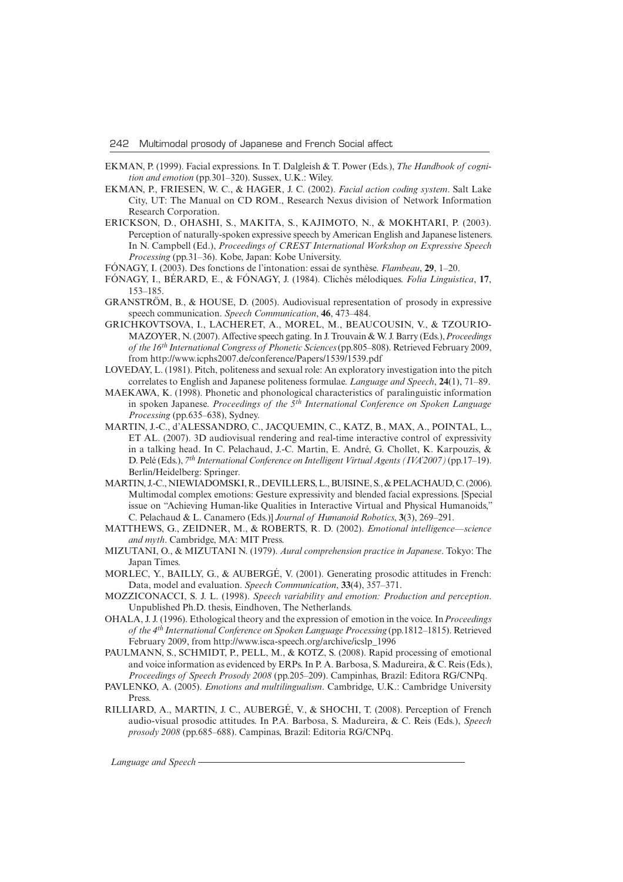- EKMAN, P. (1999). Facial expressions. In T. Dalgleish & T. Power (Eds.), *The Handbook of cognition and emotion* (pp.301–320). Sussex, U.K.: Wiley.
- EKMAN, P., FRIESEN, W. C., & HAGER, J. C. (2002). *Facial action coding system*. Salt Lake City, UT: The Manual on CD ROM., Research Nexus division of Network Information Research Corporation.
- ERICKSON, D., OHASHI, S., MAKITA, S., KAJIMOTO, N., & MOKHTARI, P. (2003). Perception of naturally-spoken expressive speech by American English and Japanese listeners. In N. Campbell (Ed.), *Proceedings of CREST International Workshop on Expressive Speech Processing* (pp.31–36). Kobe, Japan: Kobe University.

FÓNAGY, I. (2003). Des fonctions de l'intonation: essai de synthèse. *Flambeau*, **29**, 1–20.

- FÓNAGY, I., BÉRARD, E., & FÓNAGY, J. (1984). Clichés mélodiques. *Folia Linguistica*, **17**, 153–185.
- GRANSTRÖM, B., & HOUSE, D. (2005). Audiovisual representation of prosody in expressive speech communication. *Speech Communication*, **46**, 473–484.
- GRICHKOVTSOVA, I., LACHERET, A., MOREL, M., BEAUCOUSIN, V., & TZOURIO-MAZOYER, N. (2007). Affective speech gating. In J. Trouvain & W. J. Barry (Eds.), *Proceedings of the 16th International Congress of Phonetic Sciences* (pp.805–808). Retrieved February 2009, from http://www.icphs2007.de/conference/Papers/1539/1539.pdf
- LOVEDAY, L. (1981). Pitch, politeness and sexual role: An exploratory investigation into the pitch correlates to English and Japanese politeness formulae. *Language and Speech*, **24**(1), 71–89.
- MAEKAWA, K. (1998). Phonetic and phonological characteristics of paralinguistic information in spoken Japanese. *Proceedings of the 5th International Conference on Spoken Language Processing* (pp.635–638), Sydney.
- MARTIN, J.-C., d'ALESSANDRO, C., JACQUEMIN, C., KATZ, B., MAX, A., POINTAL, L., ET AL. (2007). 3D audiovisual rendering and real-time interactive control of expressivity in a talking head. In C. Pelachaud, J.-C. Martin, E. André, G. Chollet, K. Karpouzis, & D. Pelé (Eds.), *7th International Conference on Intelligent Virtual Agents (IVA'2007)* (pp.17–19). Berlin/Heidelberg: Springer.
- MARTIN, J.-C., NIEWIADOMSKI, R., DEVILLERS, L., BUISINE, S., & PELACHAUD, C. (2006). Multimodal complex emotions: Gesture expressivity and blended facial expressions. [Special issue on "Achieving Human-like Qualities in Interactive Virtual and Physical Humanoids," C. Pelachaud & L. Canamero (Eds.)] *Journal of Humanoid Robotics*, **3**(3), 269–291.
- MATTHEWS, G., ZEIDNER, M., & ROBERTS, R. D. (2002). *Emotional intelligence—science and myth*. Cambridge, MA: MIT Press.
- MIZUTANI, O., & MIZUTANI N. (1979). *Aural comprehension practice in Japanese*. Tokyo: The Japan Times.
- MORLEC, Y., BAILLY, G., & AUBERGÉ, V. (2001). Generating prosodic attitudes in French: Data, model and evaluation. *Speech Communication*, **33**(4), 357–371.
- MOZZICONACCI, S. J. L. (1998). *Speech variability and emotion: Production and perception*. Unpublished Ph.D. thesis, Eindhoven, The Netherlands.
- OHALA, J. J. (1996). Ethological theory and the expression of emotion in the voice. In *Proceedings of the 4th International Conference on Spoken Language Processing* (pp.1812–1815). Retrieved February 2009, from http://www.isca-speech.org/archive/icslp\_1996
- PAULMANN, S., SCHMIDT, P., PELL, M., & KOTZ, S. (2008). Rapid processing of emotional and voice information as evidenced by ERPs. In P. A. Barbosa, S. Madureira, & C. Reis (Eds.), *Proceedings of Speech Prosody 2008* (pp.205–209). Campinhas, Brazil: Editora RG/CNPq.
- PAVLENKO, A. (2005). *Emotions and multilingualism*. Cambridge, U.K.: Cambridge University Press.
- RILLIARD, A., MARTIN, J. C., AUBERGÉ, V., & SHOCHI, T. (2008). Perception of French audio-visual prosodic attitudes. In P.A. Barbosa, S. Madureira, & C. Reis (Eds.), *Speech prosody 2008* (pp.685–688). Campinas, Brazil: Editoria RG/CNPq.